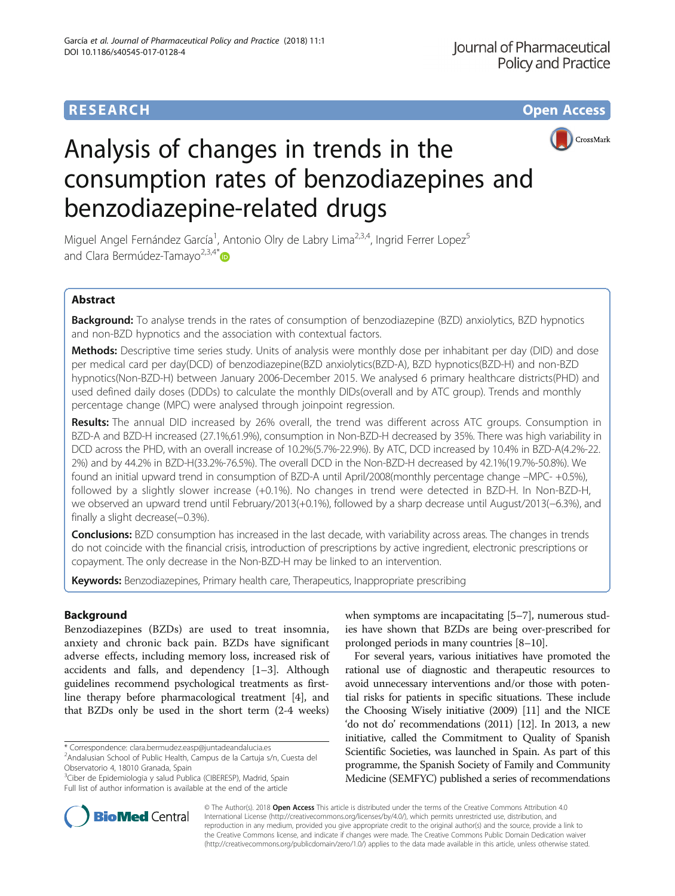## **RESEARCH CHE Open Access**



# Analysis of changes in trends in the consumption rates of benzodiazepines and benzodiazepine-related drugs

Miguel Angel Fernández García<sup>1</sup>, Antonio Olry de Labry Lima<sup>2,3,4</sup>, Ingrid Ferrer Lopez<sup>5</sup> and Clara Bermúdez-Tamayo $2.3,4^{*}$  $2.3,4^{*}$  $2.3,4^{*}$ 

## Abstract

Background: To analyse trends in the rates of consumption of benzodiazepine (BZD) anxiolytics, BZD hypnotics and non-BZD hypnotics and the association with contextual factors.

Methods: Descriptive time series study. Units of analysis were monthly dose per inhabitant per day (DID) and dose per medical card per day(DCD) of benzodiazepine(BZD anxiolytics(BZD-A), BZD hypnotics(BZD-H) and non-BZD hypnotics(Non-BZD-H) between January 2006-December 2015. We analysed 6 primary healthcare districts(PHD) and used defined daily doses (DDDs) to calculate the monthly DIDs(overall and by ATC group). Trends and monthly percentage change (MPC) were analysed through joinpoint regression.

Results: The annual DID increased by 26% overall, the trend was different across ATC groups. Consumption in BZD-A and BZD-H increased (27.1%,61.9%), consumption in Non-BZD-H decreased by 35%. There was high variability in DCD across the PHD, with an overall increase of 10.2%(5.7%-22.9%). By ATC, DCD increased by 10.4% in BZD-A(4.2%-22. 2%) and by 44.2% in BZD-H(33.2%-76.5%). The overall DCD in the Non-BZD-H decreased by 42.1%(19.7%-50.8%). We found an initial upward trend in consumption of BZD-A until April/2008(monthly percentage change –MPC- +0.5%), followed by a slightly slower increase (+0.1%). No changes in trend were detected in BZD-H. In Non-BZD-H, we observed an upward trend until February/2013(+0.1%), followed by a sharp decrease until August/2013(−6.3%), and finally a slight decrease(−0.3%).

**Conclusions:** BZD consumption has increased in the last decade, with variability across areas. The changes in trends do not coincide with the financial crisis, introduction of prescriptions by active ingredient, electronic prescriptions or copayment. The only decrease in the Non-BZD-H may be linked to an intervention.

Keywords: Benzodiazepines, Primary health care, Therapeutics, Inappropriate prescribing

## Background

Benzodiazepines (BZDs) are used to treat insomnia, anxiety and chronic back pain. BZDs have significant adverse effects, including memory loss, increased risk of accidents and falls, and dependency [\[1](#page-6-0)–[3\]](#page-6-0). Although guidelines recommend psychological treatments as firstline therapy before pharmacological treatment [\[4](#page-6-0)], and that BZDs only be used in the short term (2-4 weeks)

\* Correspondence: [clara.bermudez.easp@juntadeandalucia.es](mailto:clara.bermudez.easp@juntadeandalucia.es) <sup>2</sup>

<sup>3</sup>Ciber de Epidemiologia y salud Publica (CIBERESP), Madrid, Spain Full list of author information is available at the end of the article when symptoms are incapacitating [[5](#page-6-0)–[7](#page-6-0)], numerous studies have shown that BZDs are being over-prescribed for prolonged periods in many countries [[8](#page-6-0)–[10](#page-6-0)].

For several years, various initiatives have promoted the rational use of diagnostic and therapeutic resources to avoid unnecessary interventions and/or those with potential risks for patients in specific situations. These include the Choosing Wisely initiative (2009) [\[11](#page-6-0)] and the NICE 'do not do' recommendations (2011) [\[12\]](#page-6-0). In 2013, a new initiative, called the Commitment to Quality of Spanish Scientific Societies, was launched in Spain. As part of this programme, the Spanish Society of Family and Community Medicine (SEMFYC) published a series of recommendations



© The Author(s). 2018 Open Access This article is distributed under the terms of the Creative Commons Attribution 4.0 International License [\(http://creativecommons.org/licenses/by/4.0/](http://creativecommons.org/licenses/by/4.0/)), which permits unrestricted use, distribution, and reproduction in any medium, provided you give appropriate credit to the original author(s) and the source, provide a link to the Creative Commons license, and indicate if changes were made. The Creative Commons Public Domain Dedication waiver [\(http://creativecommons.org/publicdomain/zero/1.0/](http://creativecommons.org/publicdomain/zero/1.0/)) applies to the data made available in this article, unless otherwise stated.

<sup>&</sup>lt;sup>2</sup> Andalusian School of Public Health, Campus de la Cartuja s/n, Cuesta del Observatorio 4, 18010 Granada, Spain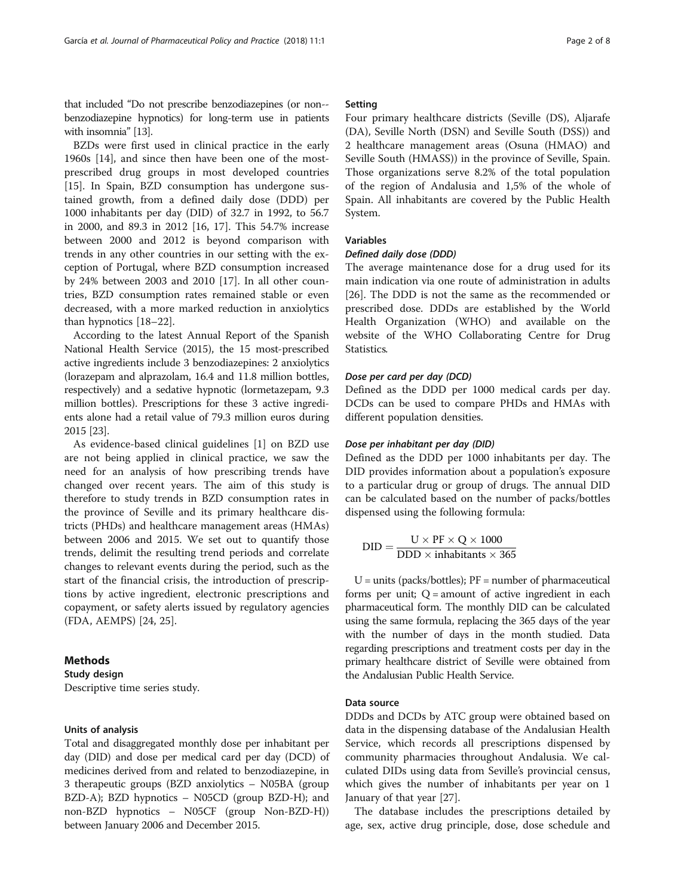that included "Do not prescribe benzodiazepines (or non- benzodiazepine hypnotics) for long-term use in patients with insomnia" [[13\]](#page-6-0).

BZDs were first used in clinical practice in the early 1960s [\[14](#page-6-0)], and since then have been one of the mostprescribed drug groups in most developed countries [[15\]](#page-6-0). In Spain, BZD consumption has undergone sustained growth, from a defined daily dose (DDD) per 1000 inhabitants per day (DID) of 32.7 in 1992, to 56.7 in 2000, and 89.3 in 2012 [[16, 17](#page-7-0)]. This 54.7% increase between 2000 and 2012 is beyond comparison with trends in any other countries in our setting with the exception of Portugal, where BZD consumption increased by 24% between 2003 and 2010 [[17](#page-7-0)]. In all other countries, BZD consumption rates remained stable or even decreased, with a more marked reduction in anxiolytics than hypnotics [\[18](#page-7-0)–[22\]](#page-7-0).

According to the latest Annual Report of the Spanish National Health Service (2015), the 15 most-prescribed active ingredients include 3 benzodiazepines: 2 anxiolytics (lorazepam and alprazolam, 16.4 and 11.8 million bottles, respectively) and a sedative hypnotic (lormetazepam, 9.3 million bottles). Prescriptions for these 3 active ingredients alone had a retail value of 79.3 million euros during 2015 [[23](#page-7-0)].

As evidence-based clinical guidelines [[1\]](#page-6-0) on BZD use are not being applied in clinical practice, we saw the need for an analysis of how prescribing trends have changed over recent years. The aim of this study is therefore to study trends in BZD consumption rates in the province of Seville and its primary healthcare districts (PHDs) and healthcare management areas (HMAs) between 2006 and 2015. We set out to quantify those trends, delimit the resulting trend periods and correlate changes to relevant events during the period, such as the start of the financial crisis, the introduction of prescriptions by active ingredient, electronic prescriptions and copayment, or safety alerts issued by regulatory agencies (FDA, AEMPS) [[24, 25\]](#page-7-0).

## Methods

Study design Descriptive time series study.

## Units of analysis

Total and disaggregated monthly dose per inhabitant per day (DID) and dose per medical card per day (DCD) of medicines derived from and related to benzodiazepine, in 3 therapeutic groups (BZD anxiolytics – N05BA (group BZD-A); BZD hypnotics – N05CD (group BZD-H); and non-BZD hypnotics – N05CF (group Non-BZD-H)) between January 2006 and December 2015.

## Setting

Four primary healthcare districts (Seville (DS), Aljarafe (DA), Seville North (DSN) and Seville South (DSS)) and 2 healthcare management areas (Osuna (HMAO) and Seville South (HMASS)) in the province of Seville, Spain. Those organizations serve 8.2% of the total population of the region of Andalusia and 1,5% of the whole of Spain. All inhabitants are covered by the Public Health System.

## Variables

## Defined daily dose (DDD)

The average maintenance dose for a drug used for its main indication via one route of administration in adults [[26\]](#page-7-0). The DDD is not the same as the recommended or prescribed dose. DDDs are established by the World Health Organization (WHO) and available on the website of the WHO Collaborating Centre for Drug Statistics.

## Dose per card per day (DCD)

Defined as the DDD per 1000 medical cards per day. DCDs can be used to compare PHDs and HMAs with different population densities.

#### Dose per inhabitant per day (DID)

Defined as the DDD per 1000 inhabitants per day. The DID provides information about a population's exposure to a particular drug or group of drugs. The annual DID can be calculated based on the number of packs/bottles dispensed using the following formula:

$$
DID = \frac{U \times PF \times Q \times 1000}{DDD \times inhabitants \times 365}
$$

U = units (packs/bottles); PF = number of pharmaceutical forms per unit;  $Q =$  amount of active ingredient in each pharmaceutical form. The monthly DID can be calculated using the same formula, replacing the 365 days of the year with the number of days in the month studied. Data regarding prescriptions and treatment costs per day in the primary healthcare district of Seville were obtained from the Andalusian Public Health Service.

## Data source

DDDs and DCDs by ATC group were obtained based on data in the dispensing database of the Andalusian Health Service, which records all prescriptions dispensed by community pharmacies throughout Andalusia. We calculated DIDs using data from Seville's provincial census, which gives the number of inhabitants per year on 1 January of that year [\[27\]](#page-7-0).

The database includes the prescriptions detailed by age, sex, active drug principle, dose, dose schedule and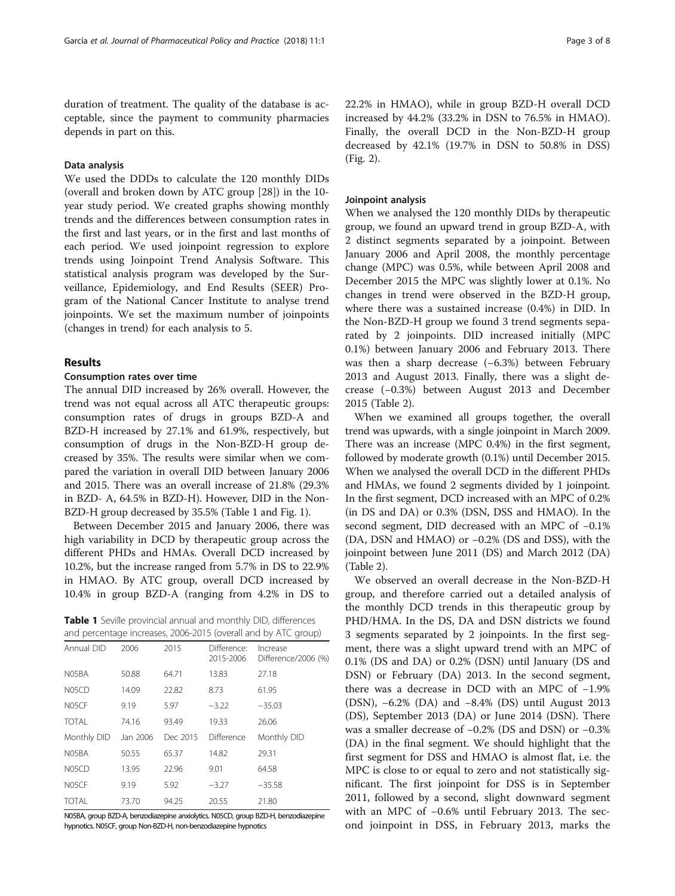duration of treatment. The quality of the database is acceptable, since the payment to community pharmacies depends in part on this.

## Data analysis

We used the DDDs to calculate the 120 monthly DIDs (overall and broken down by ATC group [[28\]](#page-7-0)) in the 10 year study period. We created graphs showing monthly trends and the differences between consumption rates in the first and last years, or in the first and last months of each period. We used joinpoint regression to explore trends using Joinpoint Trend Analysis Software. This statistical analysis program was developed by the Surveillance, Epidemiology, and End Results (SEER) Program of the National Cancer Institute to analyse trend joinpoints. We set the maximum number of joinpoints (changes in trend) for each analysis to 5.

## Results

## Consumption rates over time

The annual DID increased by 26% overall. However, the trend was not equal across all ATC therapeutic groups: consumption rates of drugs in groups BZD-A and BZD-H increased by 27.1% and 61.9%, respectively, but consumption of drugs in the Non-BZD-H group decreased by 35%. The results were similar when we compared the variation in overall DID between January 2006 and 2015. There was an overall increase of 21.8% (29.3% in BZD- A, 64.5% in BZD-H). However, DID in the Non-BZD-H group decreased by 35.5% (Table 1 and Fig. [1](#page-3-0)).

Between December 2015 and January 2006, there was high variability in DCD by therapeutic group across the different PHDs and HMAs. Overall DCD increased by 10.2%, but the increase ranged from 5.7% in DS to 22.9% in HMAO. By ATC group, overall DCD increased by 10.4% in group BZD-A (ranging from 4.2% in DS to

Table 1 Seville provincial annual and monthly DID, differences and percentage increases, 2006-2015 (overall and by ATC group)

| and percentage mercases, Esse Esns (or eram and by $m \in \mathbb{Z}$ , or engine |          |          |                          |                                 |  |  |  |
|-----------------------------------------------------------------------------------|----------|----------|--------------------------|---------------------------------|--|--|--|
| Annual DID<br>2006                                                                |          | 2015     | Difference:<br>2015-2006 | Increase<br>Difference/2006 (%) |  |  |  |
| N05BA                                                                             | 50.88    | 64.71    | 13.83                    | 27.18                           |  |  |  |
| N05CD                                                                             | 14.09    | 22.82    | 8.73                     | 61.95                           |  |  |  |
| N05CF                                                                             | 9.19     | 5.97     | $-3.22$                  | $-35.03$                        |  |  |  |
| <b>TOTAL</b>                                                                      | 74.16    | 93.49    | 19.33                    | 26.06                           |  |  |  |
| Monthly DID                                                                       | Jan 2006 | Dec 2015 | <b>Difference</b>        | Monthly DID                     |  |  |  |
| N05BA                                                                             | 50.55    | 65.37    | 14.82                    | 29.31                           |  |  |  |
| N05CD                                                                             | 13.95    | 22.96    | 9.01                     | 64.58                           |  |  |  |
| N05CF                                                                             | 9.19     | 5.92     | $-3.27$                  | $-35.58$                        |  |  |  |
| <b>TOTAL</b>                                                                      | 73.70    | 94.25    | 20.55                    | 21.80                           |  |  |  |

N05BA, group BZD-A, benzodiazepine anxiolytics. N05CD, group BZD-H, benzodiazepine hypnotics. N05CF, group Non-BZD-H, non-benzodiazepine hypnotics

22.2% in HMAO), while in group BZD-H overall DCD increased by 44.2% (33.2% in DSN to 76.5% in HMAO). Finally, the overall DCD in the Non-BZD-H group decreased by 42.1% (19.7% in DSN to 50.8% in DSS) (Fig. [2](#page-3-0)).

## Joinpoint analysis

When we analysed the 120 monthly DIDs by therapeutic group, we found an upward trend in group BZD-A, with 2 distinct segments separated by a joinpoint. Between January 2006 and April 2008, the monthly percentage change (MPC) was 0.5%, while between April 2008 and December 2015 the MPC was slightly lower at 0.1%. No changes in trend were observed in the BZD-H group, where there was a sustained increase (0.4%) in DID. In the Non-BZD-H group we found 3 trend segments separated by 2 joinpoints. DID increased initially (MPC 0.1%) between January 2006 and February 2013. There was then a sharp decrease (−6.3%) between February 2013 and August 2013. Finally, there was a slight decrease (−0.3%) between August 2013 and December 2015 (Table [2\)](#page-4-0).

When we examined all groups together, the overall trend was upwards, with a single joinpoint in March 2009. There was an increase (MPC 0.4%) in the first segment, followed by moderate growth (0.1%) until December 2015. When we analysed the overall DCD in the different PHDs and HMAs, we found 2 segments divided by 1 joinpoint. In the first segment, DCD increased with an MPC of 0.2% (in DS and DA) or 0.3% (DSN, DSS and HMAO). In the second segment, DID decreased with an MPC of −0.1% (DA, DSN and HMAO) or −0.2% (DS and DSS), with the joinpoint between June 2011 (DS) and March 2012 (DA) (Table [2](#page-4-0)).

We observed an overall decrease in the Non-BZD-H group, and therefore carried out a detailed analysis of the monthly DCD trends in this therapeutic group by PHD/HMA. In the DS, DA and DSN districts we found 3 segments separated by 2 joinpoints. In the first segment, there was a slight upward trend with an MPC of 0.1% (DS and DA) or 0.2% (DSN) until January (DS and DSN) or February (DA) 2013. In the second segment, there was a decrease in DCD with an MPC of −1.9% (DSN), −6.2% (DA) and −8.4% (DS) until August 2013 (DS), September 2013 (DA) or June 2014 (DSN). There was a smaller decrease of −0.2% (DS and DSN) or −0.3% (DA) in the final segment. We should highlight that the first segment for DSS and HMAO is almost flat, i.e. the MPC is close to or equal to zero and not statistically significant. The first joinpoint for DSS is in September 2011, followed by a second, slight downward segment with an MPC of −0.6% until February 2013. The second joinpoint in DSS, in February 2013, marks the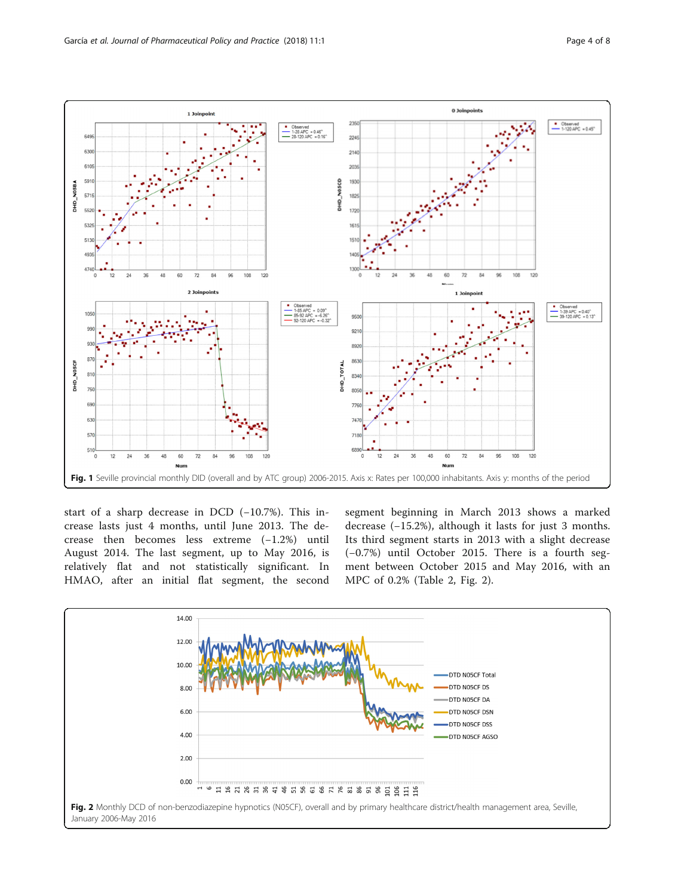<span id="page-3-0"></span>

start of a sharp decrease in DCD (−10.7%). This increase lasts just 4 months, until June 2013. The decrease then becomes less extreme (−1.2%) until August 2014. The last segment, up to May 2016, is relatively flat and not statistically significant. In HMAO, after an initial flat segment, the second segment beginning in March 2013 shows a marked decrease (−15.2%), although it lasts for just 3 months. Its third segment starts in 2013 with a slight decrease (−0.7%) until October 2015. There is a fourth segment between October 2015 and May 2016, with an MPC of 0.2% (Table [2](#page-4-0), Fig. 2).

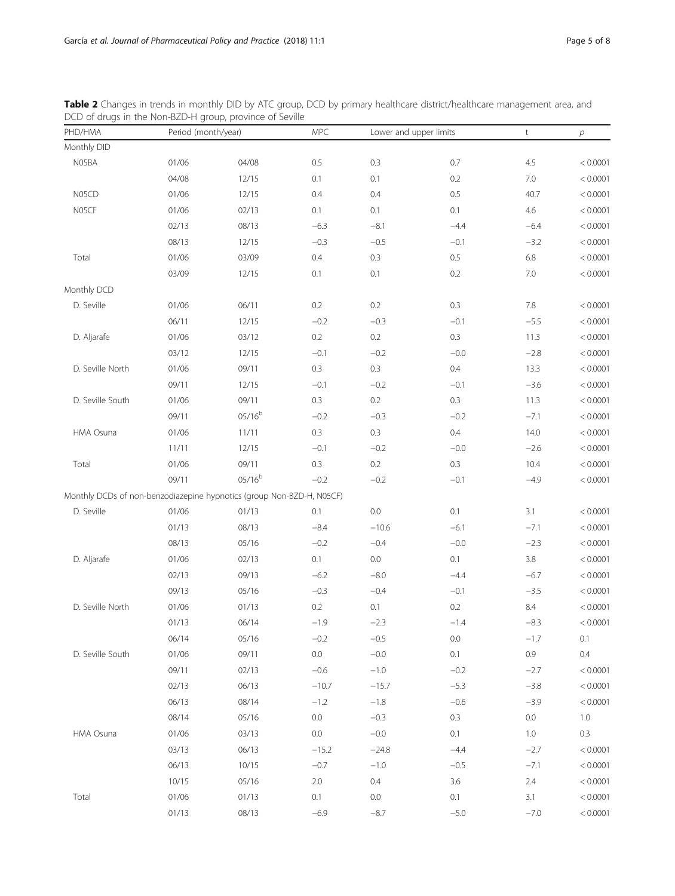| PHD/HMA                                                               | Period (month/year) |             | <b>MPC</b> | Lower and upper limits |         | $^\mathrm{t}$ | $\boldsymbol{p}$ |
|-----------------------------------------------------------------------|---------------------|-------------|------------|------------------------|---------|---------------|------------------|
| Monthly DID                                                           |                     |             |            |                        |         |               |                  |
| N05BA                                                                 | 01/06               | 04/08       | 0.5        | 0.3                    | 0.7     | 4.5           | < 0.0001         |
|                                                                       | 04/08               | 12/15       | 0.1        | 0.1                    | 0.2     | 7.0           | < 0.0001         |
| N05CD                                                                 | 01/06               | 12/15       | 0.4        | 0.4                    | 0.5     | 40.7          | < 0.0001         |
| N05CF                                                                 | 01/06               | 02/13       | 0.1        | 0.1                    | 0.1     | 4.6           | < 0.0001         |
|                                                                       | 02/13               | 08/13       | $-6.3$     | $-8.1$                 | $-4.4$  | $-6.4$        | < 0.0001         |
|                                                                       | 08/13               | 12/15       | $-0.3$     | $-0.5$                 | $-0.1$  | $-3.2$        | < 0.0001         |
| Total                                                                 | 01/06               | 03/09       | 0.4        | 0.3                    | $0.5\,$ | 6.8           | < 0.0001         |
|                                                                       | 03/09               | 12/15       | 0.1        | 0.1                    | 0.2     | $7.0\,$       | < 0.0001         |
| Monthly DCD                                                           |                     |             |            |                        |         |               |                  |
| D. Seville                                                            | 01/06               | 06/11       | 0.2        | 0.2                    | 0.3     | 7.8           | < 0.0001         |
|                                                                       | 06/11               | 12/15       | $-0.2$     | $-0.3$                 | $-0.1$  | $-5.5$        | < 0.0001         |
| D. Aljarafe                                                           | 01/06               | 03/12       | 0.2        | 0.2                    | 0.3     | 11.3          | < 0.0001         |
|                                                                       | 03/12               | 12/15       | $-0.1$     | $-0.2$                 | $-0.0$  | $-2.8$        | < 0.0001         |
| D. Seville North                                                      | 01/06               | 09/11       | 0.3        | $0.3\,$                | 0.4     | 13.3          | < 0.0001         |
|                                                                       | 09/11               | 12/15       | $-0.1$     | $-0.2$                 | $-0.1$  | $-3.6$        | < 0.0001         |
| D. Seville South                                                      | 01/06               | 09/11       | 0.3        | 0.2                    | $0.3\,$ | 11.3          | < 0.0001         |
|                                                                       | 09/11               | $05/16^{b}$ | $-0.2$     | $-0.3$                 | $-0.2$  | $-7.1$        | < 0.0001         |
| HMA Osuna                                                             | 01/06               | 11/11       | 0.3        | $0.3\,$                | 0.4     | 14.0          | < 0.0001         |
|                                                                       | 11/11               | 12/15       | $-0.1$     | $-0.2$                 | $-0.0$  | $-2.6$        | < 0.0001         |
| Total                                                                 | 01/06               | 09/11       | 0.3        | 0.2                    | $0.3\,$ | 10.4          | < 0.0001         |
|                                                                       | 09/11               | $05/16^{b}$ | $-0.2$     | $-0.2$                 | $-0.1$  | $-4.9$        | < 0.0001         |
| Monthly DCDs of non-benzodiazepine hypnotics (group Non-BZD-H, N05CF) |                     |             |            |                        |         |               |                  |
| D. Seville                                                            | 01/06               | 01/13       | 0.1        | $0.0\,$                | 0.1     | 3.1           | < 0.0001         |
|                                                                       | 01/13               | 08/13       | $-8.4$     | $-10.6$                | $-6.1$  | $-7.1$        | < 0.0001         |
|                                                                       | 08/13               | 05/16       | $-0.2$     | $-0.4$                 | $-0.0$  | $-2.3$        | < 0.0001         |
| D. Aljarafe                                                           | 01/06               | 02/13       | 0.1        | $0.0\,$                | 0.1     | 3.8           | < 0.0001         |
|                                                                       | 02/13               | 09/13       | $-6.2$     | $-8.0$                 | $-4.4$  | $-6.7$        | < 0.0001         |
|                                                                       | 09/13               | 05/16       | $-0.3$     | $-0.4$                 | $-0.1$  | $-3.5$        | < 0.0001         |
| D. Seville North                                                      | 01/06               | 01/13       | 0.2        | 0.1                    | 0.2     | $8.4\,$       | < 0.0001         |
|                                                                       | 01/13               | 06/14       | $-1.9$     | $-2.3$                 | $-1.4$  | $-8.3$        | < 0.0001         |
|                                                                       | 06/14               | 05/16       | $-0.2$     | $-0.5$                 | $0.0\,$ | $-1.7$        | 0.1              |
| D. Seville South                                                      | 01/06               | 09/11       | 0.0        | $-0.0$                 | $0.1\,$ | 0.9           | 0.4              |
|                                                                       | 09/11               | 02/13       | $-0.6$     | $-1.0$                 | $-0.2$  | $-2.7$        | < 0.0001         |
|                                                                       | 02/13               | 06/13       | $-10.7$    | $-15.7$                | $-5.3$  | $-3.8$        | < 0.0001         |
|                                                                       | 06/13               | 08/14       | $-1.2$     | $-1.8$                 | $-0.6$  | $-3.9$        | < 0.0001         |
|                                                                       | 08/14               | 05/16       | 0.0        | $-0.3$                 | $0.3\,$ | 0.0           | $1.0\,$          |
| HMA Osuna                                                             | 01/06               | 03/13       | $0.0\,$    | $-0.0$                 | 0.1     | 1.0           | 0.3              |
|                                                                       | 03/13               | 06/13       | $-15.2$    | $-24.8$                | $-4.4$  | $-2.7$        | < 0.0001         |
|                                                                       | 06/13               | 10/15       | $-0.7$     | $-1.0$                 | $-0.5$  | $-7.1$        | < 0.0001         |
|                                                                       | 10/15               | 05/16       | $2.0\,$    | 0.4                    | 3.6     | 2.4           | < 0.0001         |
| Total                                                                 | 01/06               | 01/13       | 0.1        | $0.0\,$                | 0.1     | 3.1           | < 0.0001         |
|                                                                       | 01/13               | 08/13       | $-6.9$     | $-8.7$                 | $-5.0$  | $-7.0$        | < 0.0001         |

<span id="page-4-0"></span>Table 2 Changes in trends in monthly DID by ATC group, DCD by primary healthcare district/healthcare management area, and DCD of drugs in the Non-BZD-H group, province of Seville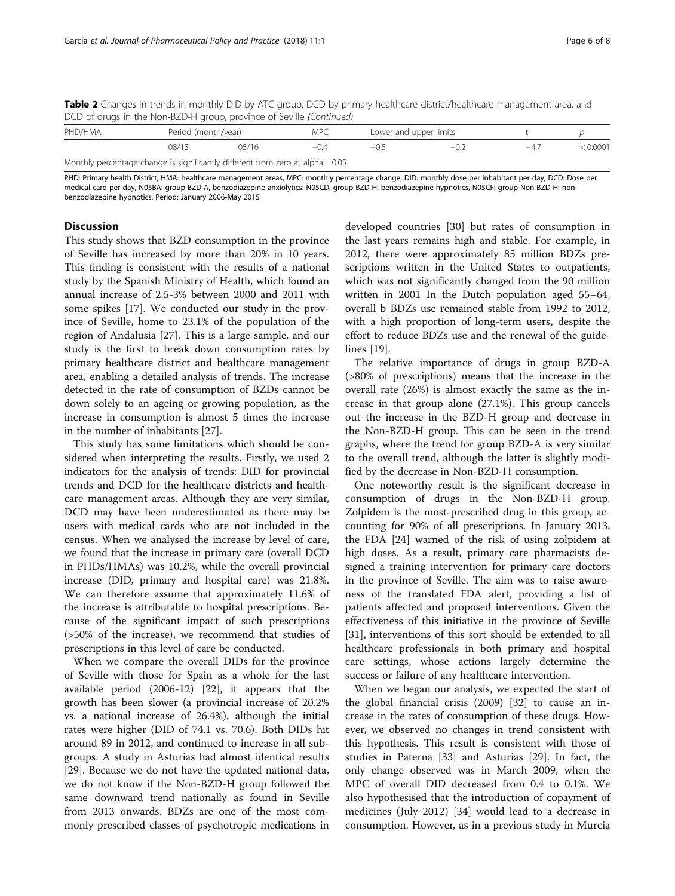Table 2 Changes in trends in monthly DID by ATC group, DCD by primary healthcare district/healthcare management area, and DCD of drugs in the Non-BZD-H group, province of Seville (Continued)

| PHD/HMA                                                                          |       | Period (month/year) |  | Lower and upper limits |        |      |          |
|----------------------------------------------------------------------------------|-------|---------------------|--|------------------------|--------|------|----------|
|                                                                                  | 08/13 | 05/16               |  | $-()$ 5                | $-0.7$ | $-4$ | < 0.0001 |
| Monthly percentage change is significantly different from zero at alpha $= 0.05$ |       |                     |  |                        |        |      |          |

PHD: Primary health District, HMA: healthcare management areas, MPC: monthly percentage change, DID: monthly dose per inhabitant per day, DCD: Dose per medical card per day, N05BA: group BZD-A, benzodiazepine anxiolytics: N05CD, group BZD-H: benzodiazepine hypnotics, N05CF: group Non-BZD-H: nonbenzodiazepine hypnotics. Period: January 2006-May 2015

## **Discussion**

This study shows that BZD consumption in the province of Seville has increased by more than 20% in 10 years. This finding is consistent with the results of a national study by the Spanish Ministry of Health, which found an annual increase of 2.5-3% between 2000 and 2011 with some spikes [\[17](#page-7-0)]. We conducted our study in the province of Seville, home to 23.1% of the population of the region of Andalusia [\[27\]](#page-7-0). This is a large sample, and our study is the first to break down consumption rates by primary healthcare district and healthcare management area, enabling a detailed analysis of trends. The increase detected in the rate of consumption of BZDs cannot be down solely to an ageing or growing population, as the increase in consumption is almost 5 times the increase in the number of inhabitants [[27\]](#page-7-0).

This study has some limitations which should be considered when interpreting the results. Firstly, we used 2 indicators for the analysis of trends: DID for provincial trends and DCD for the healthcare districts and healthcare management areas. Although they are very similar, DCD may have been underestimated as there may be users with medical cards who are not included in the census. When we analysed the increase by level of care, we found that the increase in primary care (overall DCD in PHDs/HMAs) was 10.2%, while the overall provincial increase (DID, primary and hospital care) was 21.8%. We can therefore assume that approximately 11.6% of the increase is attributable to hospital prescriptions. Because of the significant impact of such prescriptions (>50% of the increase), we recommend that studies of prescriptions in this level of care be conducted.

When we compare the overall DIDs for the province of Seville with those for Spain as a whole for the last available period (2006-12) [\[22](#page-7-0)], it appears that the growth has been slower (a provincial increase of 20.2% vs. a national increase of 26.4%), although the initial rates were higher (DID of 74.1 vs. 70.6). Both DIDs hit around 89 in 2012, and continued to increase in all subgroups. A study in Asturias had almost identical results [[29\]](#page-7-0). Because we do not have the updated national data, we do not know if the Non-BZD-H group followed the same downward trend nationally as found in Seville from 2013 onwards. BDZs are one of the most commonly prescribed classes of psychotropic medications in developed countries [\[30\]](#page-7-0) but rates of consumption in the last years remains high and stable. For example, in 2012, there were approximately 85 million BDZs prescriptions written in the United States to outpatients, which was not significantly changed from the 90 million written in 2001 In the Dutch population aged 55–64, overall b BDZs use remained stable from 1992 to 2012, with a high proportion of long-term users, despite the effort to reduce BDZs use and the renewal of the guidelines [[19](#page-7-0)].

The relative importance of drugs in group BZD-A (>80% of prescriptions) means that the increase in the overall rate (26%) is almost exactly the same as the increase in that group alone (27.1%). This group cancels out the increase in the BZD-H group and decrease in the Non-BZD-H group. This can be seen in the trend graphs, where the trend for group BZD-A is very similar to the overall trend, although the latter is slightly modified by the decrease in Non-BZD-H consumption.

One noteworthy result is the significant decrease in consumption of drugs in the Non-BZD-H group. Zolpidem is the most-prescribed drug in this group, accounting for 90% of all prescriptions. In January 2013, the FDA [[24\]](#page-7-0) warned of the risk of using zolpidem at high doses. As a result, primary care pharmacists designed a training intervention for primary care doctors in the province of Seville. The aim was to raise awareness of the translated FDA alert, providing a list of patients affected and proposed interventions. Given the effectiveness of this initiative in the province of Seville [[31\]](#page-7-0), interventions of this sort should be extended to all healthcare professionals in both primary and hospital care settings, whose actions largely determine the success or failure of any healthcare intervention.

When we began our analysis, we expected the start of the global financial crisis (2009) [[32\]](#page-7-0) to cause an increase in the rates of consumption of these drugs. However, we observed no changes in trend consistent with this hypothesis. This result is consistent with those of studies in Paterna [[33\]](#page-7-0) and Asturias [[29\]](#page-7-0). In fact, the only change observed was in March 2009, when the MPC of overall DID decreased from 0.4 to 0.1%. We also hypothesised that the introduction of copayment of medicines (July 2012) [\[34](#page-7-0)] would lead to a decrease in consumption. However, as in a previous study in Murcia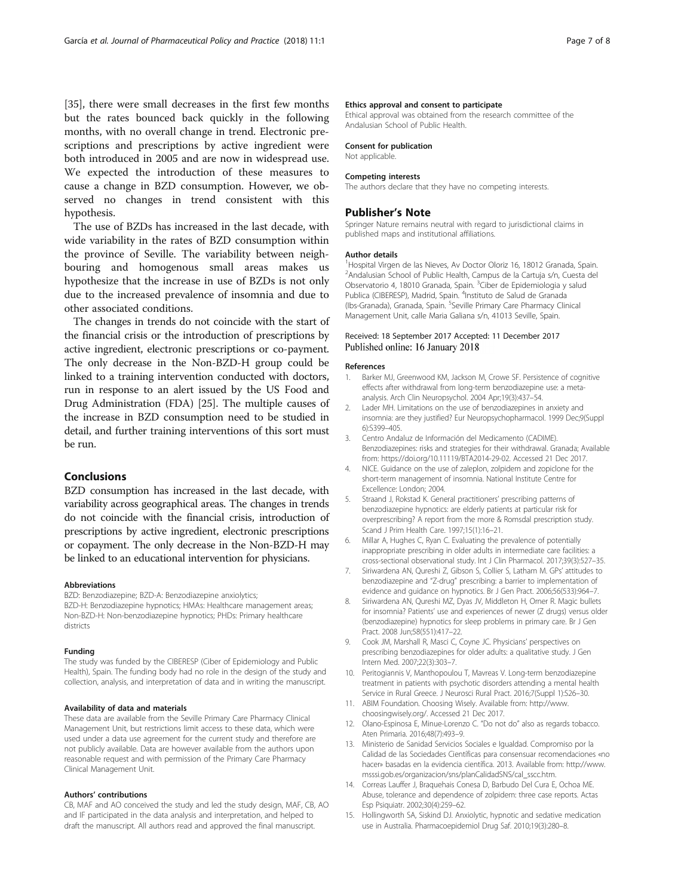<span id="page-6-0"></span>[[35\]](#page-7-0), there were small decreases in the first few months but the rates bounced back quickly in the following months, with no overall change in trend. Electronic prescriptions and prescriptions by active ingredient were both introduced in 2005 and are now in widespread use. We expected the introduction of these measures to cause a change in BZD consumption. However, we observed no changes in trend consistent with this hypothesis.

The use of BZDs has increased in the last decade, with wide variability in the rates of BZD consumption within the province of Seville. The variability between neighbouring and homogenous small areas makes us hypothesize that the increase in use of BZDs is not only due to the increased prevalence of insomnia and due to other associated conditions.

The changes in trends do not coincide with the start of the financial crisis or the introduction of prescriptions by active ingredient, electronic prescriptions or co-payment. The only decrease in the Non-BZD-H group could be linked to a training intervention conducted with doctors, run in response to an alert issued by the US Food and Drug Administration (FDA) [[25](#page-7-0)]. The multiple causes of the increase in BZD consumption need to be studied in detail, and further training interventions of this sort must be run.

## Conclusions

BZD consumption has increased in the last decade, with variability across geographical areas. The changes in trends do not coincide with the financial crisis, introduction of prescriptions by active ingredient, electronic prescriptions or copayment. The only decrease in the Non-BZD-H may be linked to an educational intervention for physicians.

#### Abbreviations

BZD: Benzodiazepine; BZD-A: Benzodiazepine anxiolytics; BZD-H: Benzodiazepine hypnotics; HMAs: Healthcare management areas; Non-BZD-H: Non-benzodiazepine hypnotics; PHDs: Primary healthcare districts

#### Funding

The study was funded by the CIBERESP (Ciber of Epidemiology and Public Health), Spain. The funding body had no role in the design of the study and collection, analysis, and interpretation of data and in writing the manuscript.

#### Availability of data and materials

These data are available from the Seville Primary Care Pharmacy Clinical Management Unit, but restrictions limit access to these data, which were used under a data use agreement for the current study and therefore are not publicly available. Data are however available from the authors upon reasonable request and with permission of the Primary Care Pharmacy Clinical Management Unit.

#### Authors' contributions

CB, MAF and AO conceived the study and led the study design, MAF, CB, AO and IF participated in the data analysis and interpretation, and helped to draft the manuscript. All authors read and approved the final manuscript.

#### Ethics approval and consent to participate

Ethical approval was obtained from the research committee of the Andalusian School of Public Health.

## Consent for publication

Not applicable.

#### Competing interests

The authors declare that they have no competing interests.

## Publisher's Note

Springer Nature remains neutral with regard to jurisdictional claims in published maps and institutional affiliations.

#### Author details

<sup>1</sup> Hospital Virgen de las Nieves, Av Doctor Oloriz 16, 18012 Granada, Spain <sup>2</sup> Andalusian School of Public Health, Campus de la Cartuja s/n, Cuesta del Observatorio 4, 18010 Granada, Spain. <sup>3</sup>Ciber de Epidemiologia y salud Publica (CIBERESP), Madrid, Spain. <sup>4</sup>Instituto de Salud de Granada (Ibs-Granada), Granada, Spain. <sup>5</sup>Seville Primary Care Pharmacy Clinical Management Unit, calle Maria Galiana s/n, 41013 Seville, Spain.

### Received: 18 September 2017 Accepted: 11 December 2017 Published online: 16 January 2018

#### References

- 1. Barker MJ, Greenwood KM, Jackson M, Crowe SF. Persistence of cognitive effects after withdrawal from long-term benzodiazepine use: a metaanalysis. Arch Clin Neuropsychol. 2004 Apr;19(3):437–54.
- 2. Lader MH. Limitations on the use of benzodiazepines in anxiety and insomnia: are they justified? Eur Neuropsychopharmacol. 1999 Dec;9(Suppl 6):S399–405.
- 3. Centro Andaluz de Información del Medicamento (CADIME). Benzodiazepines: risks and strategies for their withdrawal. Granada; Available from: [https://doi.org/10.11119/BTA2014-29-02.](http://dx.doi.org/10.11119/BTA2014-29-02) Accessed 21 Dec 2017.
- 4. NICE. Guidance on the use of zaleplon, zolpidem and zopiclone for the short-term management of insomnia. National Institute Centre for Excellence: London; 2004.
- 5. Straand J, Rokstad K. General practitioners' prescribing patterns of benzodiazepine hypnotics: are elderly patients at particular risk for overprescribing? A report from the more & Romsdal prescription study. Scand J Prim Health Care. 1997;15(1):16–21.
- 6. Millar A, Hughes C, Ryan C. Evaluating the prevalence of potentially inappropriate prescribing in older adults in intermediate care facilities: a cross-sectional observational study. Int J Clin Pharmacol. 2017;39(3):527–35.
- 7. Siriwardena AN, Qureshi Z, Gibson S, Collier S, Latham M. GPs' attitudes to benzodiazepine and "Z-drug" prescribing: a barrier to implementation of evidence and guidance on hypnotics. Br J Gen Pract. 2006;56(533):964–7.
- 8. Siriwardena AN, Qureshi MZ, Dyas JV, Middleton H, Orner R. Magic bullets for insomnia? Patients' use and experiences of newer (Z drugs) versus older (benzodiazepine) hypnotics for sleep problems in primary care. Br J Gen Pract. 2008 Jun;58(551):417–22.
- 9. Cook JM, Marshall R, Masci C, Coyne JC. Physicians' perspectives on prescribing benzodiazepines for older adults: a qualitative study. J Gen Intern Med. 2007;22(3):303–7.
- 10. Peritogiannis V, Manthopoulou T, Mavreas V. Long-term benzodiazepine treatment in patients with psychotic disorders attending a mental health Service in Rural Greece. J Neurosci Rural Pract. 2016;7(Suppl 1):S26–30.
- 11. ABIM Foundation. Choosing Wisely. Available from: [http://www.](http://www.choosingwisely.org) [choosingwisely.org](http://www.choosingwisely.org)/. Accessed 21 Dec 2017.
- 12. Olano-Espinosa E, Minue-Lorenzo C. "Do not do" also as regards tobacco. Aten Primaria. 2016;48(7):493–9.
- 13. Ministerio de Sanidad Servicios Sociales e Igualdad. Compromiso por la Calidad de las Sociedades Científicas para consensuar recomendaciones «no hacer» basadas en la evidencia científica. 2013. Available from: [http://www.](http://www.msssi.gob.es/organizacion/sns/planCalidadSNS/cal_sscc.htm) [msssi.gob.es/organizacion/sns/planCalidadSNS/cal\\_sscc.htm.](http://www.msssi.gob.es/organizacion/sns/planCalidadSNS/cal_sscc.htm)
- 14. Correas Lauffer J, Braquehais Conesa D, Barbudo Del Cura E, Ochoa ME. Abuse, tolerance and dependence of zolpidem: three case reports. Actas Esp Psiquiatr. 2002;30(4):259–62.
- 15. Hollingworth SA, Siskind DJ. Anxiolytic, hypnotic and sedative medication use in Australia. Pharmacoepidemiol Drug Saf. 2010;19(3):280–8.